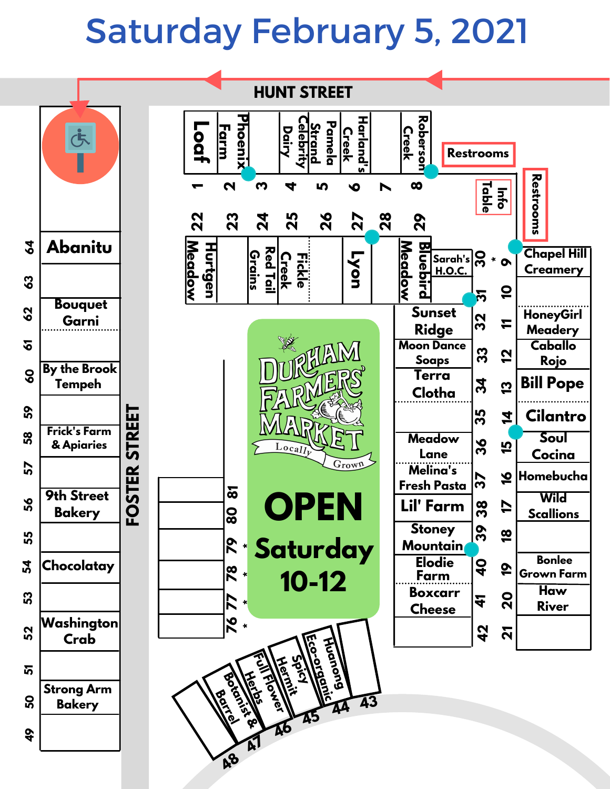## Saturday February 5, 2021